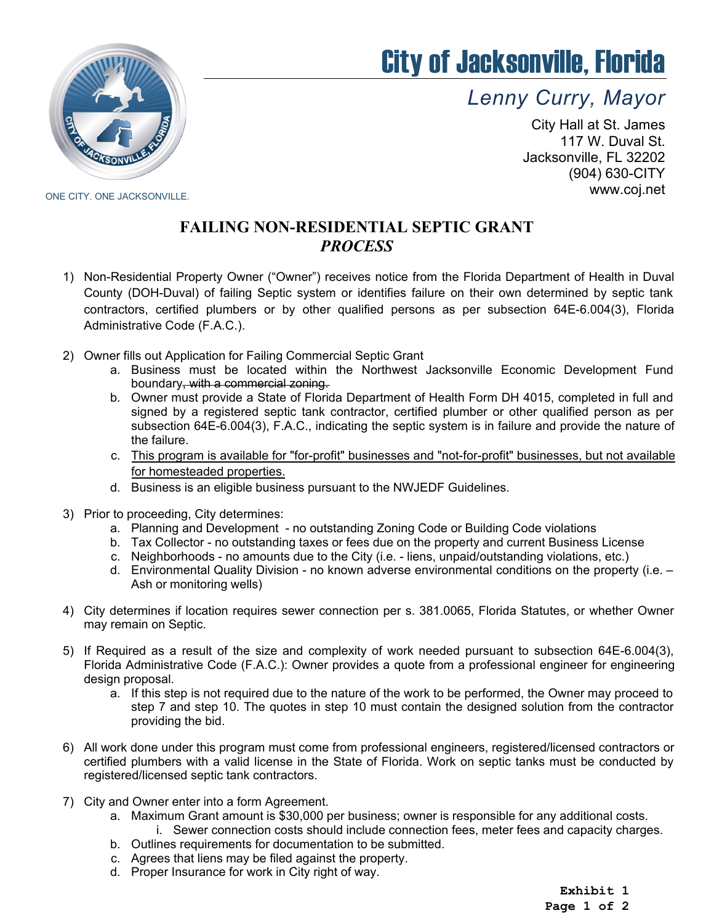

## City of Jacksonville, Florida

*Lenny Curry, Mayor*

City Hall at St. James 117 W. Duval St. Jacksonville, FL 32202 (904) 630-CITY www.coj.net

ONE CITY. ONE JACKSONVILLE.

## **FAILING NON-RESIDENTIAL SEPTIC GRANT** *PROCESS*

- 1) Non-Residential Property Owner ("Owner") receives notice from the Florida Department of Health in Duval County (DOH-Duval) of failing Septic system or identifies failure on their own determined by septic tank contractors, certified plumbers or by other qualified persons as per subsection 64E-6.004(3), Florida Administrative Code (F.A.C.).
- 2) Owner fills out Application for Failing Commercial Septic Grant
	- a. Business must be located within the Northwest Jacksonville Economic Development Fund boundary, with a commercial zoning.
	- b. Owner must provide a State of Florida Department of Health Form DH 4015, completed in full and signed by a registered septic tank contractor, certified plumber or other qualified person as per subsection 64E-6.004(3), F.A.C., indicating the septic system is in failure and provide the nature of the failure.
	- c. This program is available for "for-profit" businesses and "not-for-profit" businesses, but not available for homesteaded properties.
	- d. Business is an eligible business pursuant to the NWJEDF Guidelines.
- 3) Prior to proceeding, City determines:
	- a. Planning and Development no outstanding Zoning Code or Building Code violations
	- b. Tax Collector no outstanding taxes or fees due on the property and current Business License
	- c. Neighborhoods no amounts due to the City (i.e. liens, unpaid/outstanding violations, etc.)
	- d. Environmental Quality Division no known adverse environmental conditions on the property (i.e. Ash or monitoring wells)
- 4) City determines if location requires sewer connection per s. 381.0065, Florida Statutes, or whether Owner may remain on Septic.
- 5) If Required as a result of the size and complexity of work needed pursuant to subsection 64E-6.004(3), Florida Administrative Code (F.A.C.): Owner provides a quote from a professional engineer for engineering design proposal.
	- a. If this step is not required due to the nature of the work to be performed, the Owner may proceed to step 7 and step 10. The quotes in step 10 must contain the designed solution from the contractor providing the bid.
- 6) All work done under this program must come from professional engineers, registered/licensed contractors or certified plumbers with a valid license in the State of Florida. Work on septic tanks must be conducted by registered/licensed septic tank contractors.
- 7) City and Owner enter into a form Agreement.
	- a. Maximum Grant amount is \$30,000 per business; owner is responsible for any additional costs. i. Sewer connection costs should include connection fees, meter fees and capacity charges.
	- b. Outlines requirements for documentation to be submitted.
	- c. Agrees that liens may be filed against the property.
	- d. Proper Insurance for work in City right of way.

**Exhibit 1 Page 1 of 2**